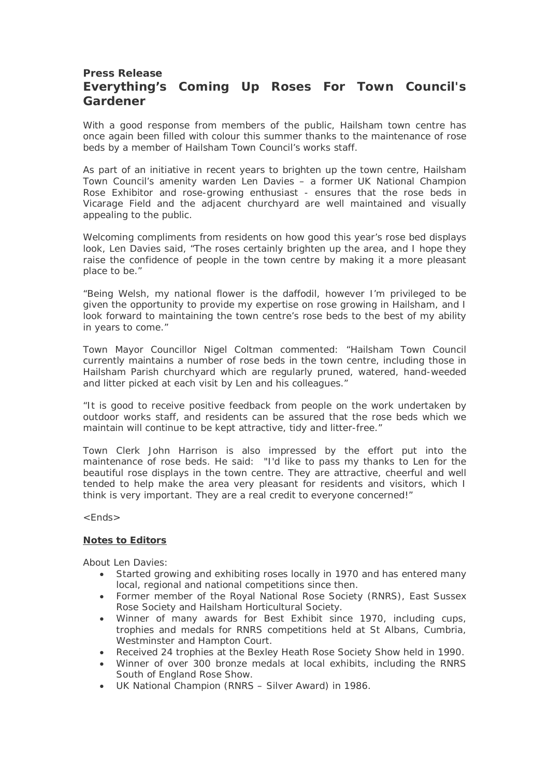## **Press Release Everything's Coming Up Roses For Town Council's Gardener**

With a good response from members of the public, Hailsham town centre has once again been filled with colour this summer thanks to the maintenance of rose beds by a member of Hailsham Town Council's works staff.

As part of an initiative in recent years to brighten up the town centre, Hailsham Town Council's amenity warden Len Davies – a former UK National Champion Rose Exhibitor and rose-growing enthusiast - ensures that the rose beds in Vicarage Field and the adjacent churchyard are well maintained and visually appealing to the public.

Welcoming compliments from residents on how good this year's rose bed displays look, Len Davies said, "The roses certainly brighten up the area, and I hope they raise the confidence of people in the town centre by making it a more pleasant place to be."

"Being Welsh, my national flower is the daffodil, however I'm privileged to be given the opportunity to provide my expertise on rose growing in Hailsham, and I look forward to maintaining the town centre's rose beds to the best of my ability in years to come."

Town Mayor Councillor Nigel Coltman commented: "Hailsham Town Council currently maintains a number of rose beds in the town centre, including those in Hailsham Parish churchyard which are regularly pruned, watered, hand-weeded and litter picked at each visit by Len and his colleagues."

"It is good to receive positive feedback from people on the work undertaken by outdoor works staff, and residents can be assured that the rose beds which we maintain will continue to be kept attractive, tidy and litter-free."

Town Clerk John Harrison is also impressed by the effort put into the maintenance of rose beds. He said: "I'd like to pass my thanks to Len for the beautiful rose displays in the town centre. They are attractive, cheerful and well tended to help make the area very pleasant for residents and visitors, which I think is very important. They are a real credit to everyone concerned!"

 $<$ Ends $>$ 

## **Notes to Editors**

About Len Davies:

- Started growing and exhibiting roses locally in 1970 and has entered many local, regional and national competitions since then.
- Former member of the Royal National Rose Society (RNRS), East Sussex Rose Society and Hailsham Horticultural Society.
- Winner of many awards for Best Exhibit since 1970, including cups, trophies and medals for RNRS competitions held at St Albans, Cumbria, Westminster and Hampton Court.
- Received 24 trophies at the Bexley Heath Rose Society Show held in 1990.
- Winner of over 300 bronze medals at local exhibits, including the RNRS South of England Rose Show.
- UK National Champion (RNRS Silver Award) in 1986.